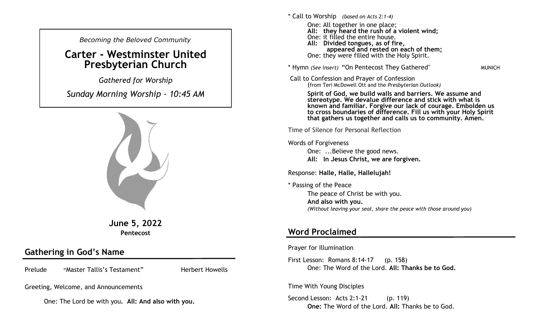*Becoming the Beloved Community* 

## **Carter - Westminster United Presbyterian Church**

*Gathered for Worship* 

*Sunday Morning Worship - 10:45 AM*



**June 5, 2022 Pentecost**

## **Gathering in God's Name**

Prelude "Master Tallis's Testament" Herbert Howells

Greeting, Welcome, and Announcements

One: The Lord be with you**. All: And also with you.**

\* Call to Worship *(based on Acts 2:1-4)* One: All together in one place; **All: they heard the rush of a violent wind;** One: it filled the entire house. **All: Divided tongues, as of fire, appeared and rested on each of them;** One: they were filled with the Holy Spirit.

\* Hymn *(See insert)* "On Pentecost They Gathered" MUNICH

Call to Confession and Prayer of Confession (from Teri McDowell Ott and the *Presbyterian Outlook)*

> **Spirit of God, we build walls and barriers. We assume and stereotype. We devalue difference and stick with what is known and familiar. Forgive our lack of courage. Embolden us to cross boundaries of difference. Fill us with your Holy Spirit that gathers us together and calls us to community. Amen.**

Time of Silence for Personal Reflection

Words of Forgiveness

One: ...Believe the good news. **All: In Jesus Christ, we are forgiven.** 

Response: **Halle, Halle, Hallelujah!**

\* Passing of the Peace

The peace of Christ be with you. **And also with you.**  *(Without leaving your seat, share the peace with those around you)*

## **Word Proclaimed**

Prayer for Illumination

First Lesson: Romans 8:14-17 (p. 158) One: The Word of the Lord. **All: Thanks be to God.**

Time With Young Disciples

Second Lesson: Acts 2:1-21 (p. 119) **One:** The Word of the Lord. **All:** Thanks be to God.